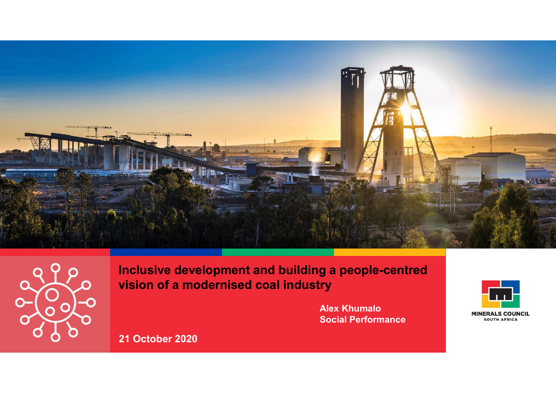



Inclusive development and building a people-centred vision of a modernised coal industry

> **Alex Khumalo** Social Performance **South AFRICAL SCOON**



21 October 2020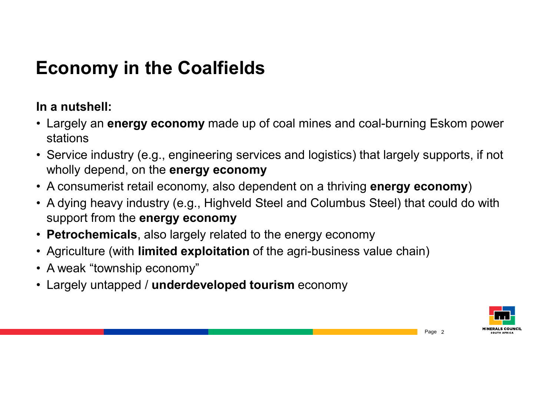## Economy in the Coalfields

#### In a nutshell:

- Economy in the Coalfields<br>
In a nutshell:<br>• Largely an energy economy made up of coal mines and coal-burning Eskom power<br>
stations<br>• Service industry (e.g., engineering services and logistics) that largely supports, if not stations
- Economy in the Coalfields<br>
In a nutshell:<br>• Largely an energy economy made up of coal mines and coal-burning Eskom power<br>
stations<br>• Service industry (e.g., engineering services and logistics) that largely supports, if not wholly depend, on the **energy economy**
- 
- **Economy in the Coalfields**<br>
In a nutshell:<br>
 Largely an energy economy made up of coal mines and coal-burning Eskom power<br>
stations<br>
 Service industry (e.g., engineering services and logistics) that largely supports, if **Economy in the Coalfields**<br> **Conomy in the Coalfields**<br>
• Largely an energy economy made up of coal mines and coal-burning Eskom power<br>
• stervice industry (e.g., engineering services and logistics) that largely supports, support from the energy economy **In a nutshell:**<br>
• Largely an energy economy made up of coal mines and coal-burning Eskom powe<br>
stations<br>
• Service industry (e.g., engineering services and logistics) that largely supports, if nc<br>
• A consumerist retail In a nutshell:<br>
• Largely an energy economy made up c<br>
stations<br>
• Service industry (e.g., engineering servic<br>
wholly depend, on the energy economy<br>
• A consumerist retail economy, also depe<br>
• A dying heavy industry (e.g. • Largely an energy economy made up of coal mines and coal-burning Esk<br>
• Service industry (e.g., engineering services and logistics) that largely supp<br>
• Molly depend, on the energy economy<br>
• A consumerist retail economy
- Petrochemicals, also largely related to the energy economy
- 
- 
- 

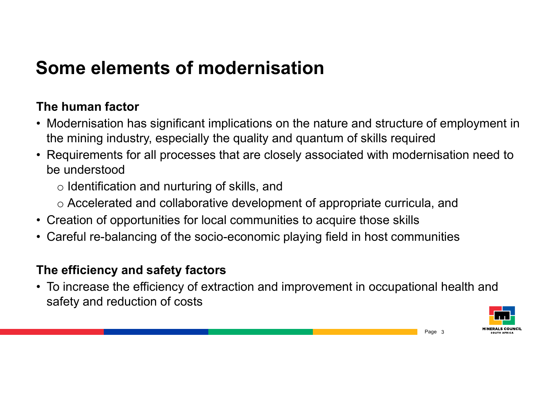## Some elements of modernisation

#### The human factor

- **Some elements of modernisation**<br>
The human factor<br>
 Modernisation has significant implications on the nature and structure of employment in<br>
the mining industry, especially the quality and quantum of skills required<br>
 R the mining industry, especially the quality and quantum of skills required **Some elements of modernisation**<br>
The human factor<br>
• Modernisation has significant implications on the nature and structure of employment in<br>
the mining industry, especially the quality and quantum of skills required<br>
• **Some elements of modernisation**<br> **The human factor**<br>
• Modernisation has significant implications on the nature and structure of employment in<br>
the mining industry, especially the quality and quantum of skills required<br> **SOME EIEMENTS OF MOGETHISATION**<br> **The human factor**<br>
• Modernisation has significant implications on the nature and structure of employment in<br>
the mining industry, especially the quality and quantum of skills required<br> • Modernisation has significant implications on the nature and structure of employment in<br>
the mining industry, especially the quality and quantum of skills required<br>
• Requirements for all processes that are closely asso
- be understood
	- o Identification and nurturing of skills, and
	- o Accelerated and collaborative development of appropriate curricula, and
- 
- 

#### The efficiency and safety factors

safety and reduction of costs

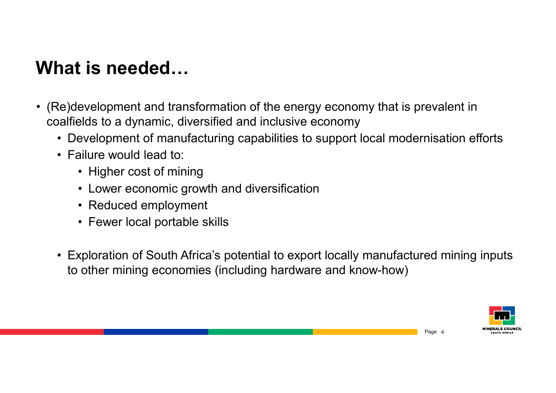### What is needed…

- what is needed…<br>• (Re)development and transformation of the energy economy that is prevalent in<br>coalfields to a dynamic, diversified and inclusive economy<br>• Development of manufacturing capabilities to support local modern coalfields to a dynamic, diversified and inclusive economy • Development and transformation of the energy economy that is prevalent in<br>palfields to a dynamic, diversified and inclusive economy<br>• Development of manufacturing capabilities to support local modernisation efforts<br>• Fai **and is needed...**<br>We)development and transformation of the<br>palfields to a dynamic, diversified and inclue<br>• Development of manufacturing capabilit<br>• Failure would lead to:<br>• Higher cost of mining<br>• Lower economic growth a **Solution Concident Conto Text**<br> **is needed...**<br>
evelopment and transformation of the energy<br>
elds to a dynamic, diversified and inclusive e<br>
evelopment of manufacturing capabilities to s<br>
ailure would lead to:<br>
• Higher c **is needed…**<br>• evelopment and transformation of the energy economy that is pre-<br>• Plds to a dynamic, diversified and inclusive economy<br>• evelopment of manufacturing capabilities to support local moderni<br>• Higher cost of mi **is needed...**<br>• evelopment and transformation of the ene<br>• elds to a dynamic, diversified and inclusive<br>• evelopment of manufacturing capabilities t<br>• Higher cost of mining<br>• Lower economic growth and diversificati<br>• Redu **is needed…**<br>• evelopment and transformation of the energy elds to a dynamic, diversified and inclusive eco<br>• evelopment of manufacturing capabilities to su<sub>i</sub><br>• Higher cost of mining<br>• Lower economic growth and diversific
	-
	- -
		-
		-
		-
	- Exploration of the energy economy that is prevalent in<br>
	 Development of manufacturing capabilities to support local modernisation efforts<br>
	 Failure would lead to:<br>
	 Higher cost of mining<br>
	 Lower economic growth and d to other mining economies (including hardware and know-how)

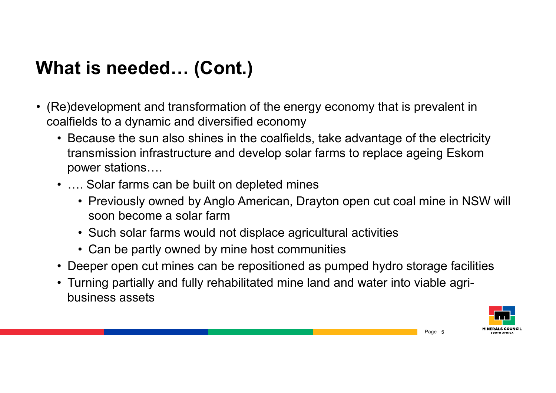## What is needed… (Cont.)

- **What is needed... (Cont.)**<br>• (Re)development and transformation of the energy economy that is prevalent in coalfields to a dynamic and diversified economy<br>• Because the sun also shines in the coalfields, take advantage o coalfields to a dynamic and diversified economy
	- **12 Acceded 1.1 (Cont.)**<br>• Replace of the sun also shines in the coalfields, take advantage of the electricity<br>• Because the sun also shines in the coalfields, take advantage of the electricity<br>• transmission infrastructur transmission infrastructure and develop solar farms to replace ageing Eskom power stations…. **arms in the fact of the solar farms can be built on depleted mines of the solar farms can diversified economy**<br>• Because the sun also shines in the coalfields, take advant transmission infrastructure and develop solar far **Example 1 Star and Science American** of the energy economy that is prevalent in<br>elds to a dynamic and diversified economy<br>ecause the sun also shines in the coalfields, take advantage of the electricity<br>ansmission infrastr t **is needed… (Cont.)**<br>
	evelopment and transformation of the energy economy that is prevaler<br>
	elds to a dynamic and diversified economy<br>
	ecause the sun also shines in the coalfields, take advantage of the elect<br>
	ansmission evelopment and transformation of the energy economy that is<br>be partly to a dynamic and diversified economy<br>ecause the sun also shines in the coalfields, take advantage<br>ansmission infrastructure and develop solar farms to r • Deeper open cut mines can be repositioned as pumped hydro storage facilities<br>• Because the sun also shines in the coalfields, take advantage of the electricity<br>• Because the sun also shines in the coalfields, take advant valifields to a dynamic and diversified economy<br>
	• Because the sun also shines in the coalfields, take advantage of the electric<br>
	transmission infrastructure and develop solar farms to replace ageing Esko<br>
	• .... Solar far
	- - soon become a solar farm
		-
		-
	-
	- business assets

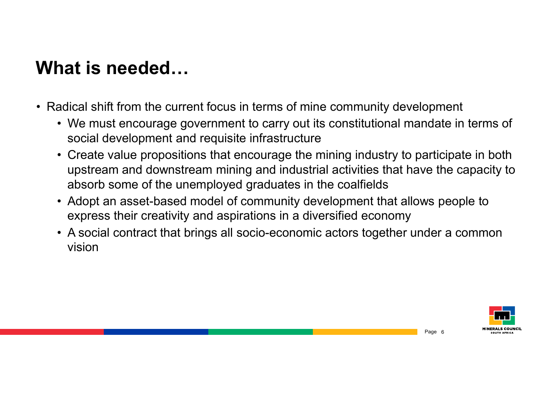## What is needed…

- 
- what is needed...<br>• Radical shift from the current focus in terms of mine community development<br>• We must encourage government to carry out its constitutional mandate in terms of<br>social development and requisite infrastruc • We must encourage government to carry out its constitutional mandate in terms of social development and requisite infrastructure
	- **12 STATE CREATE:**<br>• Creation of the current focus in terms of mine community development<br>• We must encourage government to carry out its constitutional mandate in terms of<br>• Create value propositions that encourage the mi upstream and downstream mining and industrial activities that have the capacity to absorb some of the unemployed graduates in the coalfields **and is needed...**<br>
	Andready shift from the current focus in terms of mine community development<br>
	• We must encourage government to carry out its constitutional mandate in terms of<br>
	• Create value propositions that encoura **1at is needed...**<br>
	• We must encourage government to carry out its constitutional mandate in terms of<br>
	• We must encourage government to carry out its constitutional mandate in terms of<br>
	• Create value propositions that e
	- express their creativity and aspirations in a diversified economy
	- vision

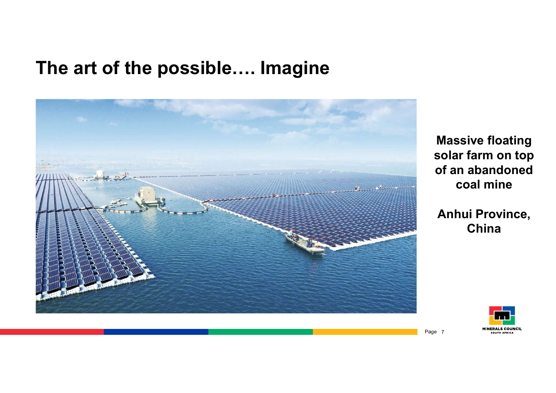### The art of the possible…. Imagine



Massive floating solar farm on top of an abandoned coal mine

Anhui Province, China

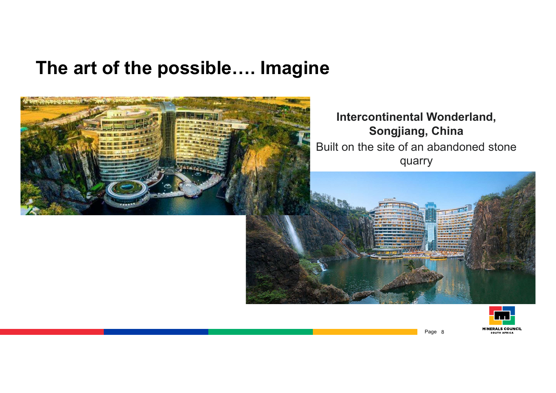#### The art of the possible…. Imagine



#### Intercontinental Wonderland, Songjiang, China Built on the site of an abandoned stone quarry